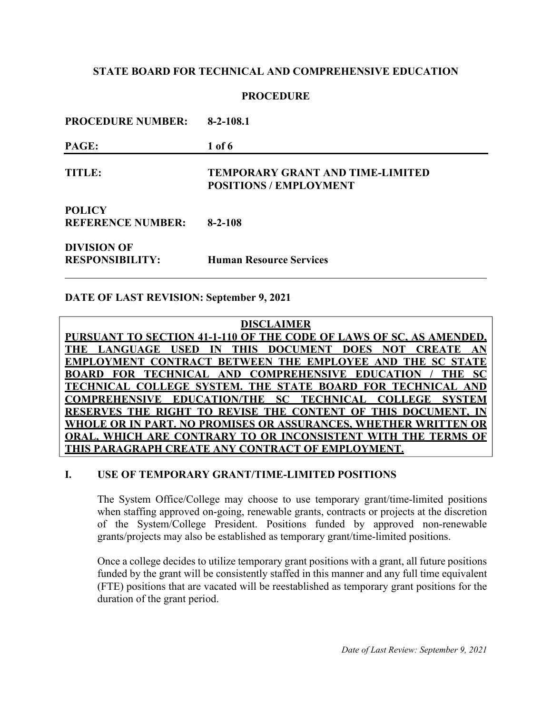# **PROCEDURE**

| <b>PROCEDURE NUMBER:</b>                     | $8-2-108.1$                                                              |  |
|----------------------------------------------|--------------------------------------------------------------------------|--|
| PAGE:                                        | $1$ of $6$                                                               |  |
| <b>TITLE:</b>                                | <b>TEMPORARY GRANT AND TIME-LIMITED</b><br><b>POSITIONS / EMPLOYMENT</b> |  |
| <b>POLICY</b><br><b>REFERENCE NUMBER:</b>    | $8 - 2 - 108$                                                            |  |
| <b>DIVISION OF</b><br><b>RESPONSIBILITY:</b> | <b>Human Resource Services</b>                                           |  |

### **DATE OF LAST REVISION: September 9, 2021**

**DISCLAIMER PURSUANT TO SECTION 41-1-110 OF THE CODE OF LAWS OF SC, AS AMENDED, THE LANGUAGE USED IN THIS DOCUMENT DOES NOT CREATE AN EMPLOYMENT CONTRACT BETWEEN THE EMPLOYEE AND THE SC STATE BOARD FOR TECHNICAL AND COMPREHENSIVE EDUCATION / THE SC TECHNICAL COLLEGE SYSTEM. THE STATE BOARD FOR TECHNICAL AND COMPREHENSIVE EDUCATION/THE SC TECHNICAL COLLEGE SYSTEM** RESERVES THE RIGHT TO REVISE THE CONTENT OF THIS DOCUMENT. **WHOLE OR IN PART. NO PROMISES OR ASSURANCES, WHETHER WRITTEN OR ORAL, WHICH ARE CONTRARY TO OR INCONSISTENT WITH THE TERMS OF THIS PARAGRAPH CREATE ANY CONTRACT OF EMPLOYMENT.**

### **I. USE OF TEMPORARY GRANT/TIME-LIMITED POSITIONS**

The System Office/College may choose to use temporary grant/time-limited positions when staffing approved on-going, renewable grants, contracts or projects at the discretion of the System/College President. Positions funded by approved non-renewable grants/projects may also be established as temporary grant/time-limited positions.

Once a college decides to utilize temporary grant positions with a grant, all future positions funded by the grant will be consistently staffed in this manner and any full time equivalent (FTE) positions that are vacated will be reestablished as temporary grant positions for the duration of the grant period.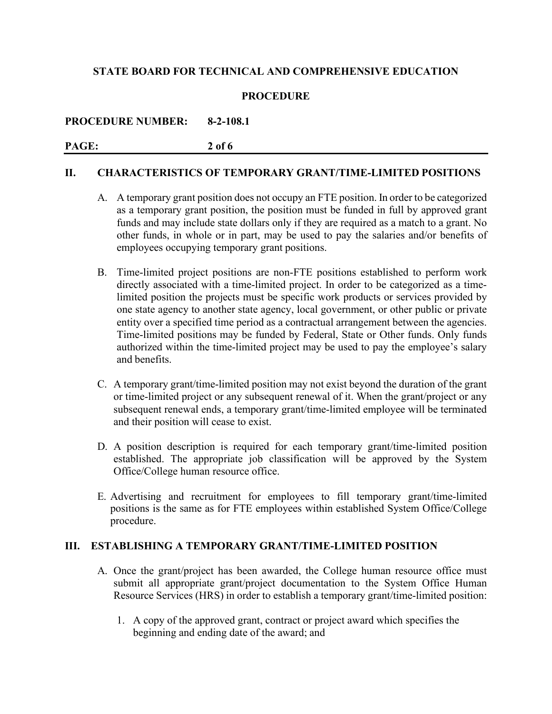### **PROCEDURE**

**PROCEDURE NUMBER: 8-2-108.1**

# **PAGE: 2 of 6**

#### **II. CHARACTERISTICS OF TEMPORARY GRANT/TIME-LIMITED POSITIONS**

- A. A temporary grant position does not occupy an FTE position. In order to be categorized as a temporary grant position, the position must be funded in full by approved grant funds and may include state dollars only if they are required as a match to a grant. No other funds, in whole or in part, may be used to pay the salaries and/or benefits of employees occupying temporary grant positions.
- B. Time-limited project positions are non-FTE positions established to perform work directly associated with a time-limited project. In order to be categorized as a timelimited position the projects must be specific work products or services provided by one state agency to another state agency, local government, or other public or private entity over a specified time period as a contractual arrangement between the agencies. Time-limited positions may be funded by Federal, State or Other funds. Only funds authorized within the time-limited project may be used to pay the employee's salary and benefits.
- C. A temporary grant/time-limited position may not exist beyond the duration of the grant or time-limited project or any subsequent renewal of it. When the grant/project or any subsequent renewal ends, a temporary grant/time-limited employee will be terminated and their position will cease to exist.
- D. A position description is required for each temporary grant/time-limited position established. The appropriate job classification will be approved by the System Office/College human resource office.
- E. Advertising and recruitment for employees to fill temporary grant/time-limited positions is the same as for FTE employees within established System Office/College procedure.

# **III. ESTABLISHING A TEMPORARY GRANT/TIME-LIMITED POSITION**

- A. Once the grant/project has been awarded, the College human resource office must submit all appropriate grant/project documentation to the System Office Human Resource Services (HRS) in order to establish a temporary grant/time-limited position:
	- 1. A copy of the approved grant, contract or project award which specifies the beginning and ending date of the award; and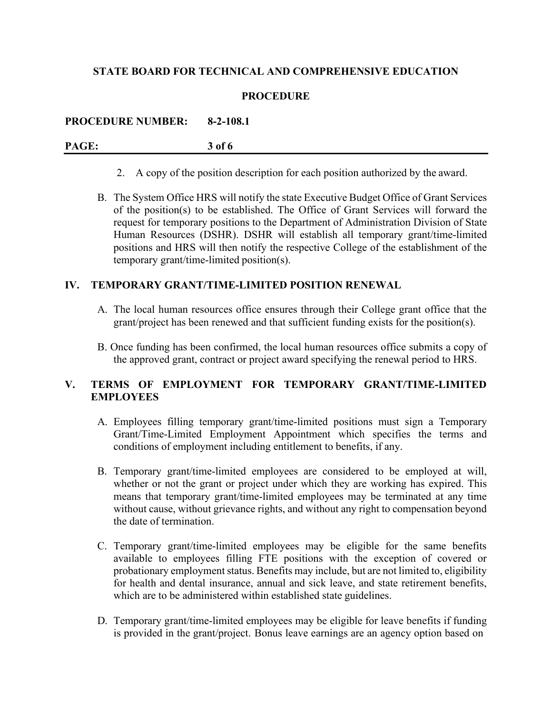### **PROCEDURE**

**PROCEDURE NUMBER: 8-2-108.1**

**PAGE: 3 of 6**

- 2. A copy of the position description for each position authorized by the award.
- B. The System Office HRS will notify the state Executive Budget Office of Grant Services of the position(s) to be established. The Office of Grant Services will forward the request for temporary positions to the Department of Administration Division of State Human Resources (DSHR). DSHR will establish all temporary grant/time-limited positions and HRS will then notify the respective College of the establishment of the temporary grant/time-limited position(s).

# **IV. TEMPORARY GRANT/TIME-LIMITED POSITION RENEWAL**

- A. The local human resources office ensures through their College grant office that the grant/project has been renewed and that sufficient funding exists for the position(s).
- B. Once funding has been confirmed, the local human resources office submits a copy of the approved grant, contract or project award specifying the renewal period to HRS.

# **V. TERMS OF EMPLOYMENT FOR TEMPORARY GRANT/TIME-LIMITED EMPLOYEES**

- A. Employees filling temporary grant/time-limited positions must sign a Temporary Grant/Time-Limited Employment Appointment which specifies the terms and conditions of employment including entitlement to benefits, if any.
- B. Temporary grant/time-limited employees are considered to be employed at will, whether or not the grant or project under which they are working has expired. This means that temporary grant/time-limited employees may be terminated at any time without cause, without grievance rights, and without any right to compensation beyond the date of termination.
- C. Temporary grant/time-limited employees may be eligible for the same benefits available to employees filling FTE positions with the exception of covered or probationary employment status. Benefits may include, but are not limited to, eligibility for health and dental insurance, annual and sick leave, and state retirement benefits, which are to be administered within established state guidelines.
- D. Temporary grant/time-limited employees may be eligible for leave benefits if funding is provided in the grant/project. Bonus leave earnings are an agency option based on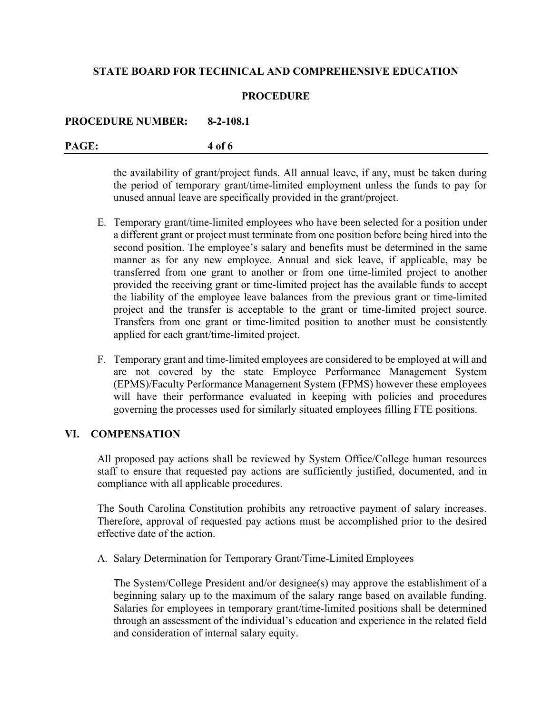#### **PROCEDURE**

#### **PROCEDURE NUMBER: 8-2-108.1**

#### **PAGE: 4 of 6**

the availability of grant/project funds. All annual leave, if any, must be taken during the period of temporary grant/time-limited employment unless the funds to pay for unused annual leave are specifically provided in the grant/project.

- E. Temporary grant/time-limited employees who have been selected for a position under a different grant or project must terminate from one position before being hired into the second position. The employee's salary and benefits must be determined in the same manner as for any new employee. Annual and sick leave, if applicable, may be transferred from one grant to another or from one time-limited project to another provided the receiving grant or time-limited project has the available funds to accept the liability of the employee leave balances from the previous grant or time-limited project and the transfer is acceptable to the grant or time-limited project source. Transfers from one grant or time-limited position to another must be consistently applied for each grant/time-limited project.
- F. Temporary grant and time-limited employees are considered to be employed at will and are not covered by the state Employee Performance Management System (EPMS)/Faculty Performance Management System (FPMS) however these employees will have their performance evaluated in keeping with policies and procedures governing the processes used for similarly situated employees filling FTE positions.

### **VI. COMPENSATION**

All proposed pay actions shall be reviewed by System Office/College human resources staff to ensure that requested pay actions are sufficiently justified, documented, and in compliance with all applicable procedures.

The South Carolina Constitution prohibits any retroactive payment of salary increases. Therefore, approval of requested pay actions must be accomplished prior to the desired effective date of the action.

A. Salary Determination for Temporary Grant/Time-Limited Employees

The System/College President and/or designee(s) may approve the establishment of a beginning salary up to the maximum of the salary range based on available funding. Salaries for employees in temporary grant/time-limited positions shall be determined through an assessment of the individual's education and experience in the related field and consideration of internal salary equity.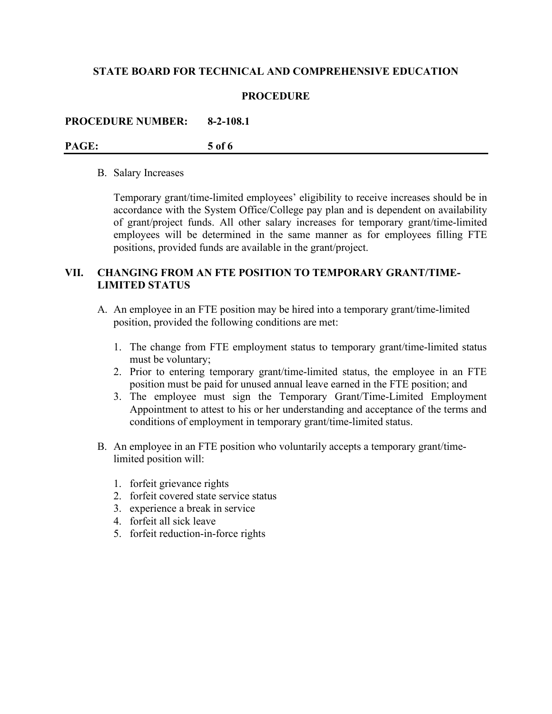#### **PROCEDURE**

#### **PROCEDURE NUMBER: 8-2-108.1**

#### **PAGE: 5 of 6**

#### B. Salary Increases

Temporary grant/time-limited employees' eligibility to receive increases should be in accordance with the System Office/College pay plan and is dependent on availability of grant/project funds. All other salary increases for temporary grant/time-limited employees will be determined in the same manner as for employees filling FTE positions, provided funds are available in the grant/project.

# **VII. CHANGING FROM AN FTE POSITION TO TEMPORARY GRANT/TIME-LIMITED STATUS**

- A. An employee in an FTE position may be hired into a temporary grant/time-limited position, provided the following conditions are met:
	- 1. The change from FTE employment status to temporary grant/time-limited status must be voluntary;
	- 2. Prior to entering temporary grant/time-limited status, the employee in an FTE position must be paid for unused annual leave earned in the FTE position; and
	- 3. The employee must sign the Temporary Grant/Time-Limited Employment Appointment to attest to his or her understanding and acceptance of the terms and conditions of employment in temporary grant/time-limited status.
- B. An employee in an FTE position who voluntarily accepts a temporary grant/timelimited position will:
	- 1. forfeit grievance rights
	- 2. forfeit covered state service status
	- 3. experience a break in service
	- 4. forfeit all sick leave
	- 5. forfeit reduction-in-force rights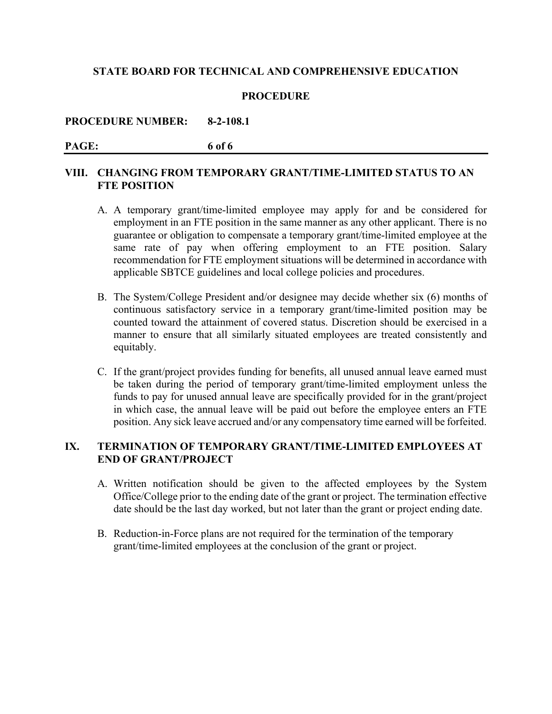#### **PROCEDURE**

#### **PROCEDURE NUMBER: 8-2-108.1**

# **PAGE: 6 of 6**

# **VIII. CHANGING FROM TEMPORARY GRANT/TIME-LIMITED STATUS TO AN FTE POSITION**

- A. A temporary grant/time-limited employee may apply for and be considered for employment in an FTE position in the same manner as any other applicant. There is no guarantee or obligation to compensate a temporary grant/time-limited employee at the same rate of pay when offering employment to an FTE position. Salary recommendation for FTE employment situations will be determined in accordance with applicable SBTCE guidelines and local college policies and procedures.
- B. The System/College President and/or designee may decide whether six (6) months of continuous satisfactory service in a temporary grant/time-limited position may be counted toward the attainment of covered status. Discretion should be exercised in a manner to ensure that all similarly situated employees are treated consistently and equitably.
- C. If the grant/project provides funding for benefits, all unused annual leave earned must be taken during the period of temporary grant/time-limited employment unless the funds to pay for unused annual leave are specifically provided for in the grant/project in which case, the annual leave will be paid out before the employee enters an FTE position. Any sick leave accrued and/or any compensatory time earned will be forfeited.

# **IX. TERMINATION OF TEMPORARY GRANT/TIME-LIMITED EMPLOYEES AT END OF GRANT/PROJECT**

- A. Written notification should be given to the affected employees by the System Office/College prior to the ending date of the grant or project. The termination effective date should be the last day worked, but not later than the grant or project ending date.
- B. Reduction-in-Force plans are not required for the termination of the temporary grant/time-limited employees at the conclusion of the grant or project.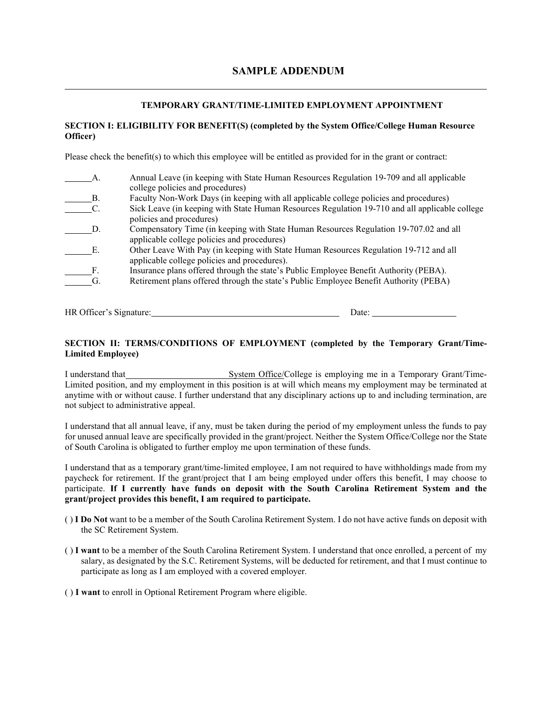### **SAMPLE ADDENDUM**

#### **TEMPORARY GRANT/TIME-LIMITED EMPLOYMENT APPOINTMENT**

#### **SECTION I: ELIGIBILITY FOR BENEFIT(S) (completed by the System Office/College Human Resource Officer)**

Please check the benefit(s) to which this employee will be entitled as provided for in the grant or contract:

|    | Annual Leave (in keeping with State Human Resources Regulation 19-709 and all applicable       |
|----|------------------------------------------------------------------------------------------------|
|    | college policies and procedures)                                                               |
| В. | Faculty Non-Work Days (in keeping with all applicable college policies and procedures)         |
|    | Sick Leave (in keeping with State Human Resources Regulation 19-710 and all applicable college |
|    | policies and procedures)                                                                       |
| D. | Compensatory Time (in keeping with State Human Resources Regulation 19-707.02 and all          |
|    | applicable college policies and procedures)                                                    |
| E  | Other Leave With Pay (in keeping with State Human Resources Regulation 19-712 and all          |
|    | applicable college policies and procedures).                                                   |
| F. | Insurance plans offered through the state's Public Employee Benefit Authority (PEBA).          |
| G. | Retirement plans offered through the state's Public Employee Benefit Authority (PEBA)          |
|    |                                                                                                |

HR Officer's Signature: Date: Date:

#### **SECTION II: TERMS/CONDITIONS OF EMPLOYMENT (completed by the Temporary Grant/Time-Limited Employee)**

I understand that System Office/College is employing me in a Temporary Grant/Time-Limited position, and my employment in this position is at will which means my employment may be terminated at anytime with or without cause. I further understand that any disciplinary actions up to and including termination, are not subject to administrative appeal.

I understand that all annual leave, if any, must be taken during the period of my employment unless the funds to pay for unused annual leave are specifically provided in the grant/project. Neither the System Office/College nor the State of South Carolina is obligated to further employ me upon termination of these funds.

I understand that as a temporary grant/time-limited employee, I am not required to have withholdings made from my paycheck for retirement. If the grant/project that I am being employed under offers this benefit, I may choose to participate. **If I currently have funds on deposit with the South Carolina Retirement System and the grant/project provides this benefit, I am required to participate.**

- ( ) **I Do Not** want to be a member of the South Carolina Retirement System. I do not have active funds on deposit with the SC Retirement System.
- ( ) **I want** to be a member of the South Carolina Retirement System. I understand that once enrolled, a percent of my salary, as designated by the S.C. Retirement Systems, will be deducted for retirement, and that I must continue to participate as long as I am employed with a covered employer.

( ) **I want** to enroll in Optional Retirement Program where eligible.